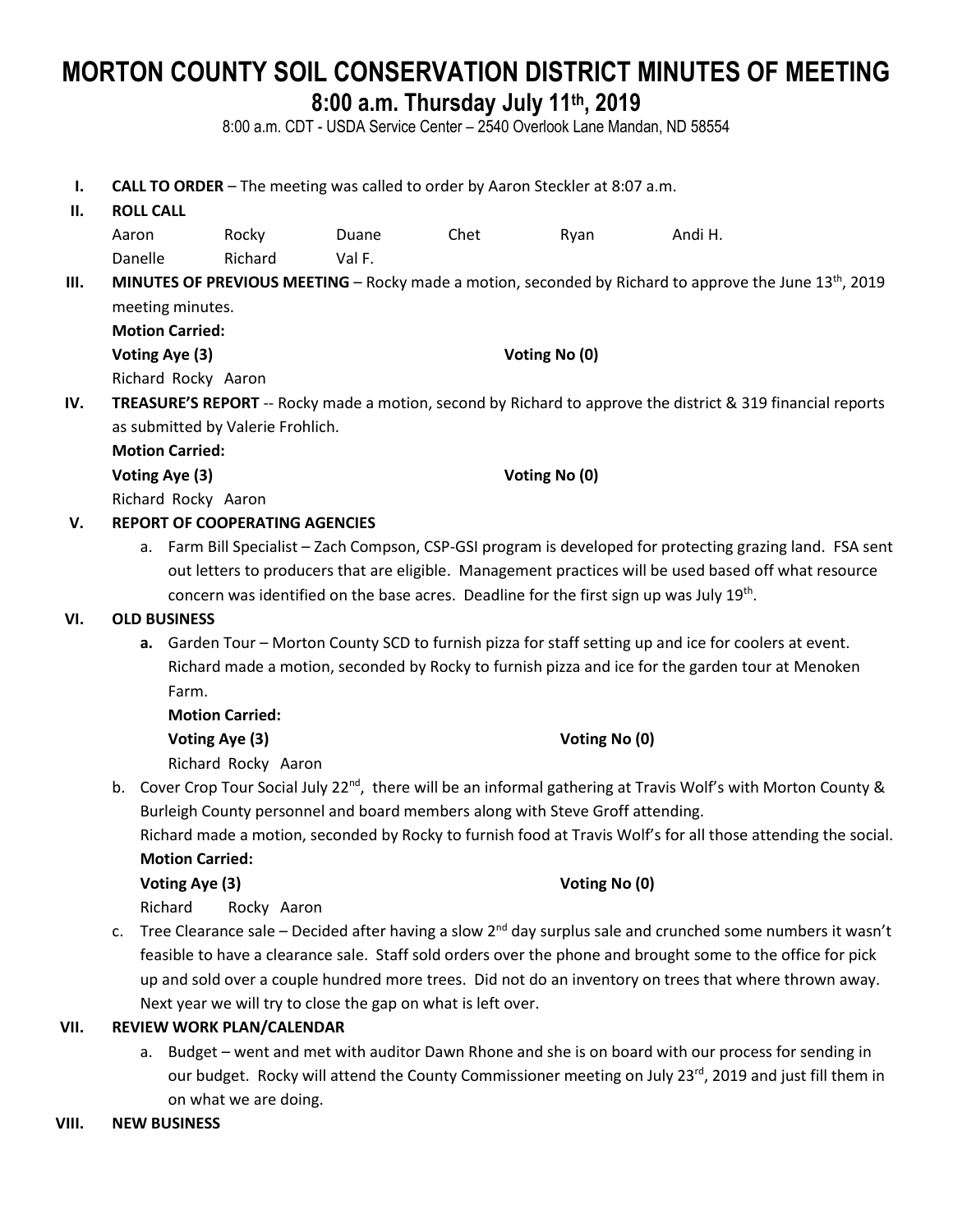# **MORTON COUNTY SOIL CONSERVATION DISTRICT MINUTES OF MEETING 8:00 a.m. Thursday July 11th , 2019**

8:00 a.m. CDT - USDA Service Center – 2540 Overlook Lane Mandan, ND 58554

**I. CALL TO ORDER** – The meeting was called to order by Aaron Steckler at 8:07 a.m.

#### **II. ROLL CALL**

| Aaron   | Rocky   | Duane  | Chet | Ryan | Andi H. |
|---------|---------|--------|------|------|---------|
| Danelle | Richard | Val F. |      |      |         |

## III. MINUTES OF PREVIOUS MEETING – Rocky made a motion, seconded by Richard to approve the June 13<sup>th</sup>, 2019 meeting minutes.

|   | <b>Motion Carried:</b> |
|---|------------------------|
| . | $\sim$                 |

**Voting Aye (3) Voting No (0)** Richard Rocky Aaron

**IV. TREASURE'S REPORT** -- Rocky made a motion, second by Richard to approve the district & 319 financial reports as submitted by Valerie Frohlich.

**Motion Carried:**

**Voting Aye (3) Voting No (0)**

Richard Rocky Aaron

#### **V. REPORT OF COOPERATING AGENCIES**

a. Farm Bill Specialist – Zach Compson, CSP-GSI program is developed for protecting grazing land. FSA sent out letters to producers that are eligible. Management practices will be used based off what resource concern was identified on the base acres. Deadline for the first sign up was July  $19^{th}$ .

#### **VI. OLD BUSINESS**

**a.** Garden Tour – Morton County SCD to furnish pizza for staff setting up and ice for coolers at event. Richard made a motion, seconded by Rocky to furnish pizza and ice for the garden tour at Menoken Farm.

**Motion Carried: Voting Aye (3) Voting No (0)** Richard Rocky Aaron

b. Cover Crop Tour Social July 22<sup>nd</sup>, there will be an informal gathering at Travis Wolf's with Morton County & Burleigh County personnel and board members along with Steve Groff attending.

Richard made a motion, seconded by Rocky to furnish food at Travis Wolf's for all those attending the social. **Motion Carried:**

**Voting Aye (3) Voting No (0)**

Richard Rocky Aaron

c. Tree Clearance sale – Decided after having a slow 2<sup>nd</sup> day surplus sale and crunched some numbers it wasn't feasible to have a clearance sale. Staff sold orders over the phone and brought some to the office for pick up and sold over a couple hundred more trees. Did not do an inventory on trees that where thrown away. Next year we will try to close the gap on what is left over.

#### **VII. REVIEW WORK PLAN/CALENDAR**

a. Budget – went and met with auditor Dawn Rhone and she is on board with our process for sending in our budget. Rocky will attend the County Commissioner meeting on July 23rd, 2019 and just fill them in on what we are doing.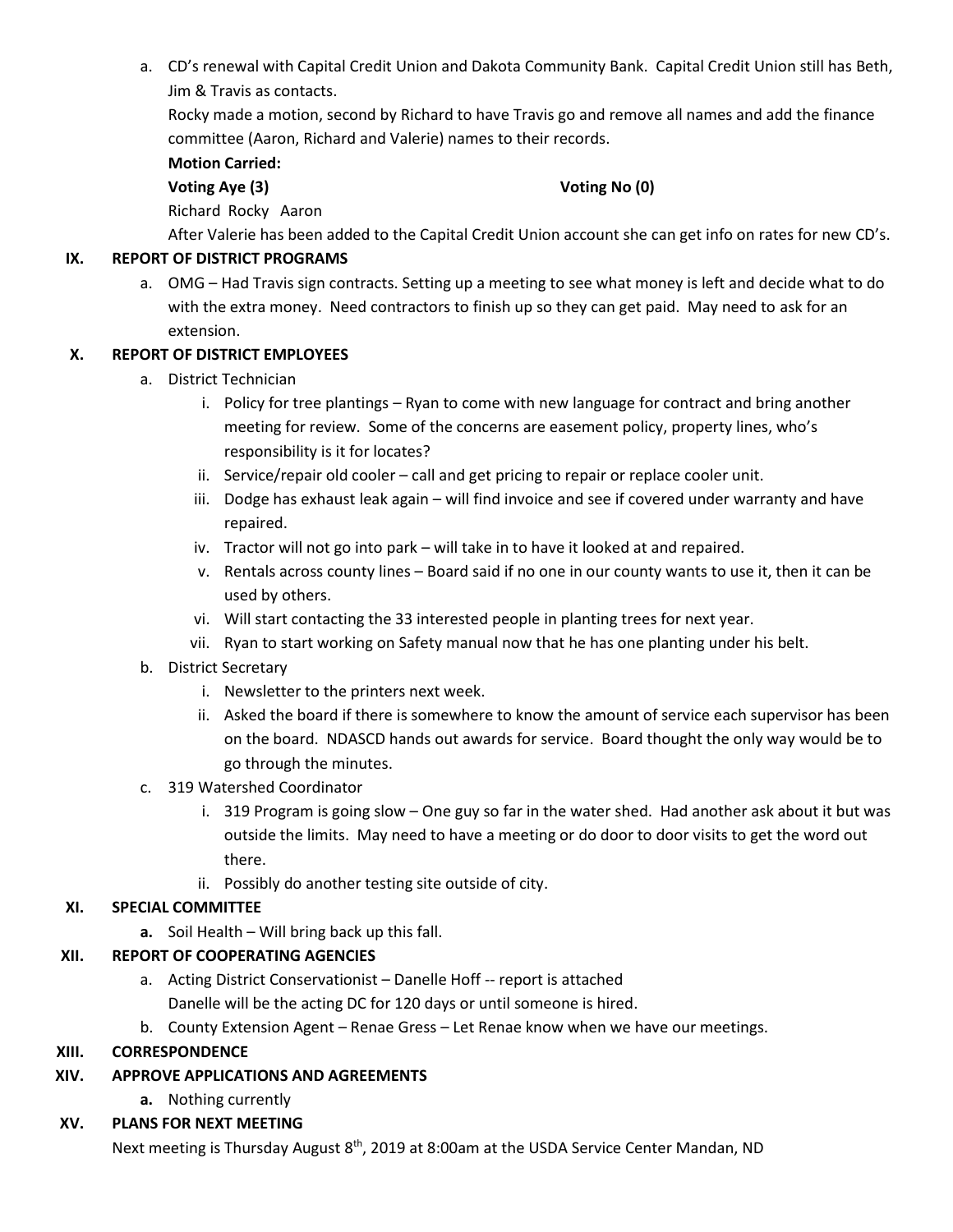a. CD's renewal with Capital Credit Union and Dakota Community Bank. Capital Credit Union still has Beth, Jim & Travis as contacts.

Rocky made a motion, second by Richard to have Travis go and remove all names and add the finance committee (Aaron, Richard and Valerie) names to their records.

#### **Motion Carried:**

#### **Voting Aye (3) Voting No (0)**

Richard Rocky Aaron

After Valerie has been added to the Capital Credit Union account she can get info on rates for new CD's.

#### **IX. REPORT OF DISTRICT PROGRAMS**

a. OMG – Had Travis sign contracts. Setting up a meeting to see what money is left and decide what to do with the extra money. Need contractors to finish up so they can get paid. May need to ask for an extension.

#### **X. REPORT OF DISTRICT EMPLOYEES**

- a. District Technician
	- i. Policy for tree plantings Ryan to come with new language for contract and bring another meeting for review. Some of the concerns are easement policy, property lines, who's responsibility is it for locates?
	- ii. Service/repair old cooler call and get pricing to repair or replace cooler unit.
	- iii. Dodge has exhaust leak again will find invoice and see if covered under warranty and have repaired.
	- iv. Tractor will not go into park will take in to have it looked at and repaired.
	- v. Rentals across county lines Board said if no one in our county wants to use it, then it can be used by others.
	- vi. Will start contacting the 33 interested people in planting trees for next year.
	- vii. Ryan to start working on Safety manual now that he has one planting under his belt.
- b. District Secretary
	- i. Newsletter to the printers next week.
	- ii. Asked the board if there is somewhere to know the amount of service each supervisor has been on the board. NDASCD hands out awards for service. Board thought the only way would be to go through the minutes.
- c. 319 Watershed Coordinator
	- i. 319 Program is going slow One guy so far in the water shed. Had another ask about it but was outside the limits. May need to have a meeting or do door to door visits to get the word out there.
	- ii. Possibly do another testing site outside of city.

#### **XI. SPECIAL COMMITTEE**

**a.** Soil Health – Will bring back up this fall.

#### **XII. REPORT OF COOPERATING AGENCIES**

a. Acting District Conservationist – Danelle Hoff -- report is attached

Danelle will be the acting DC for 120 days or until someone is hired.

b. County Extension Agent – Renae Gress – Let Renae know when we have our meetings.

#### **XIII. CORRESPONDENCE**

### **XIV. APPROVE APPLICATIONS AND AGREEMENTS**

**a.** Nothing currently

### **XV. PLANS FOR NEXT MEETING**

Next meeting is Thursday August 8<sup>th</sup>, 2019 at 8:00am at the USDA Service Center Mandan, ND